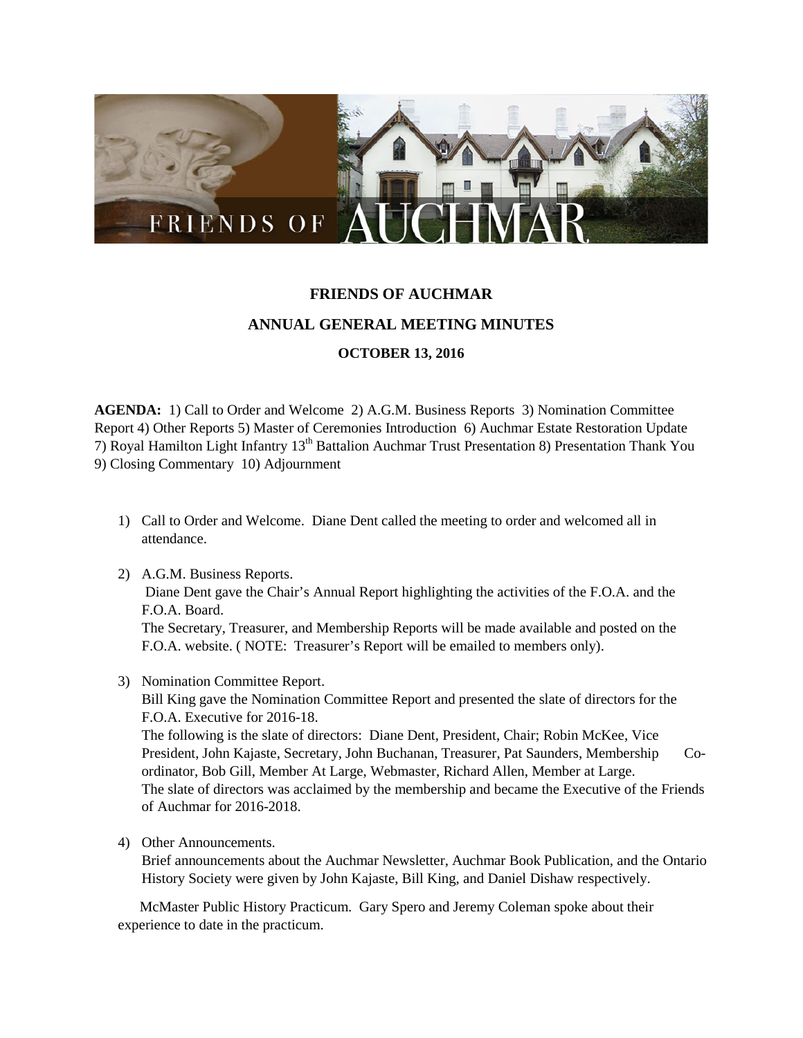

## **FRIENDS OF AUCHMAR ANNUAL GENERAL MEETING MINUTES OCTOBER 13, 2016**

**AGENDA:** 1) Call to Order and Welcome 2) A.G.M. Business Reports 3) Nomination Committee Report 4) Other Reports 5) Master of Ceremonies Introduction 6) Auchmar Estate Restoration Update 7) Royal Hamilton Light Infantry 13<sup>th</sup> Battalion Auchmar Trust Presentation 8) Presentation Thank You 9) Closing Commentary 10) Adjournment

- 1) Call to Order and Welcome. Diane Dent called the meeting to order and welcomed all in attendance.
- 2) A.G.M. Business Reports. Diane Dent gave the Chair's Annual Report highlighting the activities of the F.O.A. and the F.O.A. Board. The Secretary, Treasurer, and Membership Reports will be made available and posted on the F.O.A. website. ( NOTE: Treasurer's Report will be emailed to members only).
- 3) Nomination Committee Report.

Bill King gave the Nomination Committee Report and presented the slate of directors for the F.O.A. Executive for 2016-18.

The following is the slate of directors: Diane Dent, President, Chair; Robin McKee, Vice President, John Kajaste, Secretary, John Buchanan, Treasurer, Pat Saunders, Membership Coordinator, Bob Gill, Member At Large, Webmaster, Richard Allen, Member at Large. The slate of directors was acclaimed by the membership and became the Executive of the Friends of Auchmar for 2016-2018.

4) Other Announcements.

Brief announcements about the Auchmar Newsletter, Auchmar Book Publication, and the Ontario History Society were given by John Kajaste, Bill King, and Daniel Dishaw respectively.

 McMaster Public History Practicum. Gary Spero and Jeremy Coleman spoke about their experience to date in the practicum.